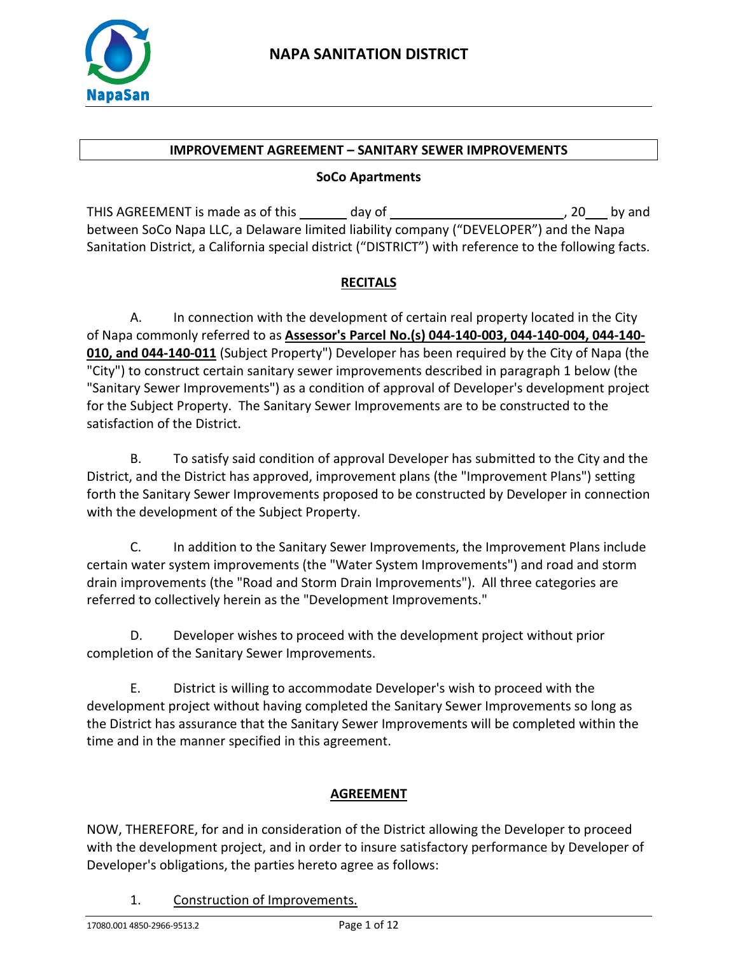

#### **IMPROVEMENT AGREEMENT – SANITARY SEWER IMPROVEMENTS**

#### **SoCo Apartments**

THIS AGREEMENT is made as of this \_\_\_\_\_\_ day of \_\_\_\_\_\_\_\_\_\_\_\_\_\_\_\_\_\_\_\_\_\_\_\_\_\_\_\_\_\_\_\_\_, 20 by and between SoCo Napa LLC, a Delaware limited liability company ("DEVELOPER") and the Napa Sanitation District, a California special district ("DISTRICT") with reference to the following facts.

## **RECITALS**

A. In connection with the development of certain real property located in the City of Napa commonly referred to as **Assessor's Parcel No.(s) 044-140-003, 044-140-004, 044-140- 010, and 044-140-011** (Subject Property") Developer has been required by the City of Napa (the "City") to construct certain sanitary sewer improvements described in paragraph 1 below (the "Sanitary Sewer Improvements") as a condition of approval of Developer's development project for the Subject Property. The Sanitary Sewer Improvements are to be constructed to the satisfaction of the District.

B. To satisfy said condition of approval Developer has submitted to the City and the District, and the District has approved, improvement plans (the "Improvement Plans") setting forth the Sanitary Sewer Improvements proposed to be constructed by Developer in connection with the development of the Subject Property.

C. In addition to the Sanitary Sewer Improvements, the Improvement Plans include certain water system improvements (the "Water System Improvements") and road and storm drain improvements (the "Road and Storm Drain Improvements"). All three categories are referred to collectively herein as the "Development Improvements."

D. Developer wishes to proceed with the development project without prior completion of the Sanitary Sewer Improvements.

E. District is willing to accommodate Developer's wish to proceed with the development project without having completed the Sanitary Sewer Improvements so long as the District has assurance that the Sanitary Sewer Improvements will be completed within the time and in the manner specified in this agreement.

## **AGREEMENT**

NOW, THEREFORE, for and in consideration of the District allowing the Developer to proceed with the development project, and in order to insure satisfactory performance by Developer of Developer's obligations, the parties hereto agree as follows:

1. Construction of Improvements.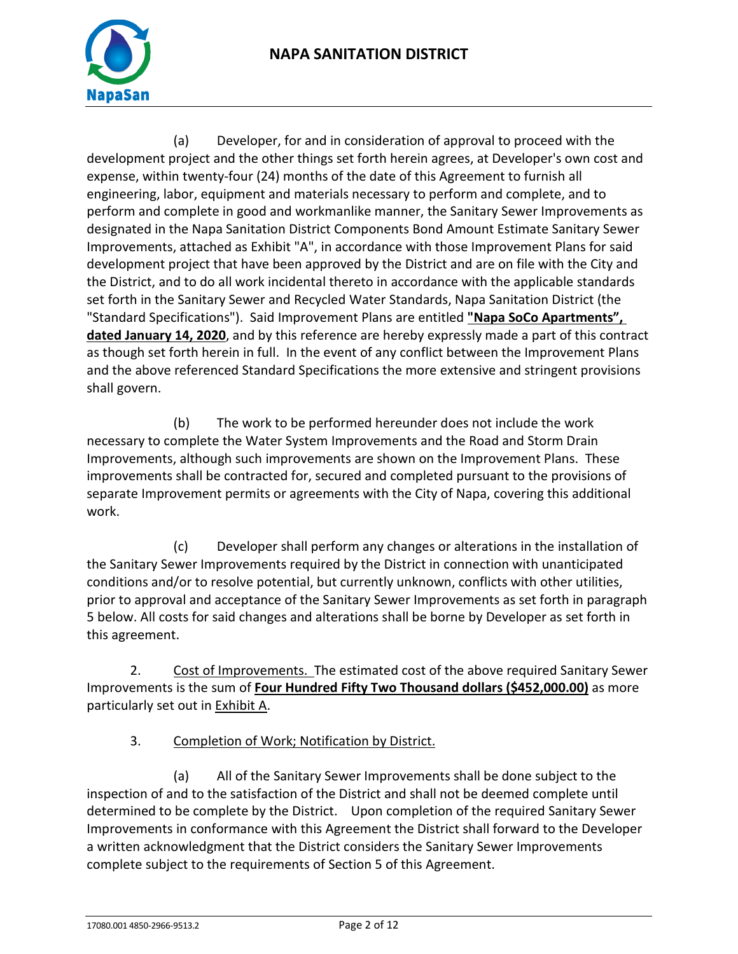

(a) Developer, for and in consideration of approval to proceed with the development project and the other things set forth herein agrees, at Developer's own cost and expense, within twenty-four (24) months of the date of this Agreement to furnish all engineering, labor, equipment and materials necessary to perform and complete, and to perform and complete in good and workmanlike manner, the Sanitary Sewer Improvements as designated in the Napa Sanitation District Components Bond Amount Estimate Sanitary Sewer Improvements, attached as Exhibit "A", in accordance with those Improvement Plans for said development project that have been approved by the District and are on file with the City and the District, and to do all work incidental thereto in accordance with the applicable standards set forth in the Sanitary Sewer and Recycled Water Standards, Napa Sanitation District (the "Standard Specifications"). Said Improvement Plans are entitled **"Napa SoCo Apartments", dated January 14, 2020**, and by this reference are hereby expressly made a part of this contract as though set forth herein in full. In the event of any conflict between the Improvement Plans and the above referenced Standard Specifications the more extensive and stringent provisions shall govern.

(b) The work to be performed hereunder does not include the work necessary to complete the Water System Improvements and the Road and Storm Drain Improvements, although such improvements are shown on the Improvement Plans. These improvements shall be contracted for, secured and completed pursuant to the provisions of separate Improvement permits or agreements with the City of Napa, covering this additional work.

(c) Developer shall perform any changes or alterations in the installation of the Sanitary Sewer Improvements required by the District in connection with unanticipated conditions and/or to resolve potential, but currently unknown, conflicts with other utilities, prior to approval and acceptance of the Sanitary Sewer Improvements as set forth in paragraph 5 below. All costs for said changes and alterations shall be borne by Developer as set forth in this agreement.

2. Cost of Improvements. The estimated cost of the above required Sanitary Sewer Improvements is the sum of **Four Hundred Fifty Two Thousand dollars (\$452,000.00)** as more particularly set out in **Exhibit A.** 

3. Completion of Work; Notification by District.

(a) All of the Sanitary Sewer Improvements shall be done subject to the inspection of and to the satisfaction of the District and shall not be deemed complete until determined to be complete by the District. Upon completion of the required Sanitary Sewer Improvements in conformance with this Agreement the District shall forward to the Developer a written acknowledgment that the District considers the Sanitary Sewer Improvements complete subject to the requirements of Section 5 of this Agreement.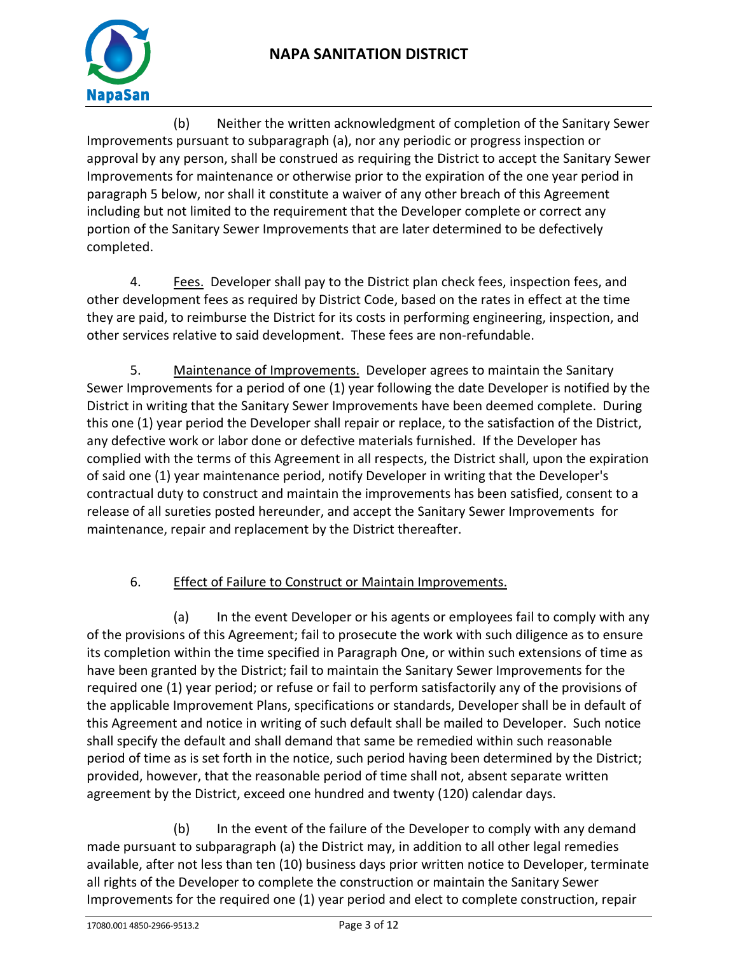



(b) Neither the written acknowledgment of completion of the Sanitary Sewer Improvements pursuant to subparagraph (a), nor any periodic or progress inspection or approval by any person, shall be construed as requiring the District to accept the Sanitary Sewer Improvements for maintenance or otherwise prior to the expiration of the one year period in paragraph 5 below, nor shall it constitute a waiver of any other breach of this Agreement including but not limited to the requirement that the Developer complete or correct any portion of the Sanitary Sewer Improvements that are later determined to be defectively completed.

4. Fees. Developer shall pay to the District plan check fees, inspection fees, and other development fees as required by District Code, based on the rates in effect at the time they are paid, to reimburse the District for its costs in performing engineering, inspection, and other services relative to said development. These fees are non-refundable.

5. Maintenance of Improvements. Developer agrees to maintain the Sanitary Sewer Improvements for a period of one (1) year following the date Developer is notified by the District in writing that the Sanitary Sewer Improvements have been deemed complete. During this one (1) year period the Developer shall repair or replace, to the satisfaction of the District, any defective work or labor done or defective materials furnished. If the Developer has complied with the terms of this Agreement in all respects, the District shall, upon the expiration of said one (1) year maintenance period, notify Developer in writing that the Developer's contractual duty to construct and maintain the improvements has been satisfied, consent to a release of all sureties posted hereunder, and accept the Sanitary Sewer Improvements for maintenance, repair and replacement by the District thereafter.

## 6. Effect of Failure to Construct or Maintain Improvements.

(a) In the event Developer or his agents or employees fail to comply with any of the provisions of this Agreement; fail to prosecute the work with such diligence as to ensure its completion within the time specified in Paragraph One, or within such extensions of time as have been granted by the District; fail to maintain the Sanitary Sewer Improvements for the required one (1) year period; or refuse or fail to perform satisfactorily any of the provisions of the applicable Improvement Plans, specifications or standards, Developer shall be in default of this Agreement and notice in writing of such default shall be mailed to Developer. Such notice shall specify the default and shall demand that same be remedied within such reasonable period of time as is set forth in the notice, such period having been determined by the District; provided, however, that the reasonable period of time shall not, absent separate written agreement by the District, exceed one hundred and twenty (120) calendar days.

(b) In the event of the failure of the Developer to comply with any demand made pursuant to subparagraph (a) the District may, in addition to all other legal remedies available, after not less than ten (10) business days prior written notice to Developer, terminate all rights of the Developer to complete the construction or maintain the Sanitary Sewer Improvements for the required one (1) year period and elect to complete construction, repair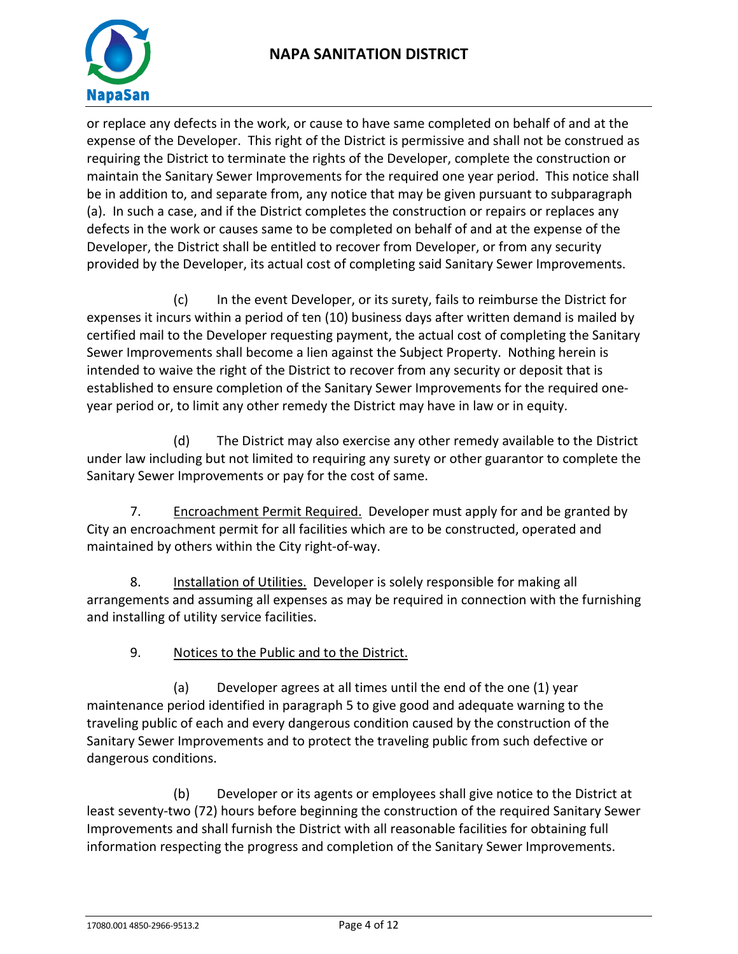



or replace any defects in the work, or cause to have same completed on behalf of and at the expense of the Developer. This right of the District is permissive and shall not be construed as requiring the District to terminate the rights of the Developer, complete the construction or maintain the Sanitary Sewer Improvements for the required one year period. This notice shall be in addition to, and separate from, any notice that may be given pursuant to subparagraph (a). In such a case, and if the District completes the construction or repairs or replaces any defects in the work or causes same to be completed on behalf of and at the expense of the Developer, the District shall be entitled to recover from Developer, or from any security provided by the Developer, its actual cost of completing said Sanitary Sewer Improvements.

(c) In the event Developer, or its surety, fails to reimburse the District for expenses it incurs within a period of ten (10) business days after written demand is mailed by certified mail to the Developer requesting payment, the actual cost of completing the Sanitary Sewer Improvements shall become a lien against the Subject Property. Nothing herein is intended to waive the right of the District to recover from any security or deposit that is established to ensure completion of the Sanitary Sewer Improvements for the required oneyear period or, to limit any other remedy the District may have in law or in equity.

(d) The District may also exercise any other remedy available to the District under law including but not limited to requiring any surety or other guarantor to complete the Sanitary Sewer Improvements or pay for the cost of same.

7. Encroachment Permit Required. Developer must apply for and be granted by City an encroachment permit for all facilities which are to be constructed, operated and maintained by others within the City right-of-way.

8. Installation of Utilities. Developer is solely responsible for making all arrangements and assuming all expenses as may be required in connection with the furnishing and installing of utility service facilities.

9. Notices to the Public and to the District.

(a) Developer agrees at all times until the end of the one (1) year maintenance period identified in paragraph 5 to give good and adequate warning to the traveling public of each and every dangerous condition caused by the construction of the Sanitary Sewer Improvements and to protect the traveling public from such defective or dangerous conditions.

(b) Developer or its agents or employees shall give notice to the District at least seventy-two (72) hours before beginning the construction of the required Sanitary Sewer Improvements and shall furnish the District with all reasonable facilities for obtaining full information respecting the progress and completion of the Sanitary Sewer Improvements.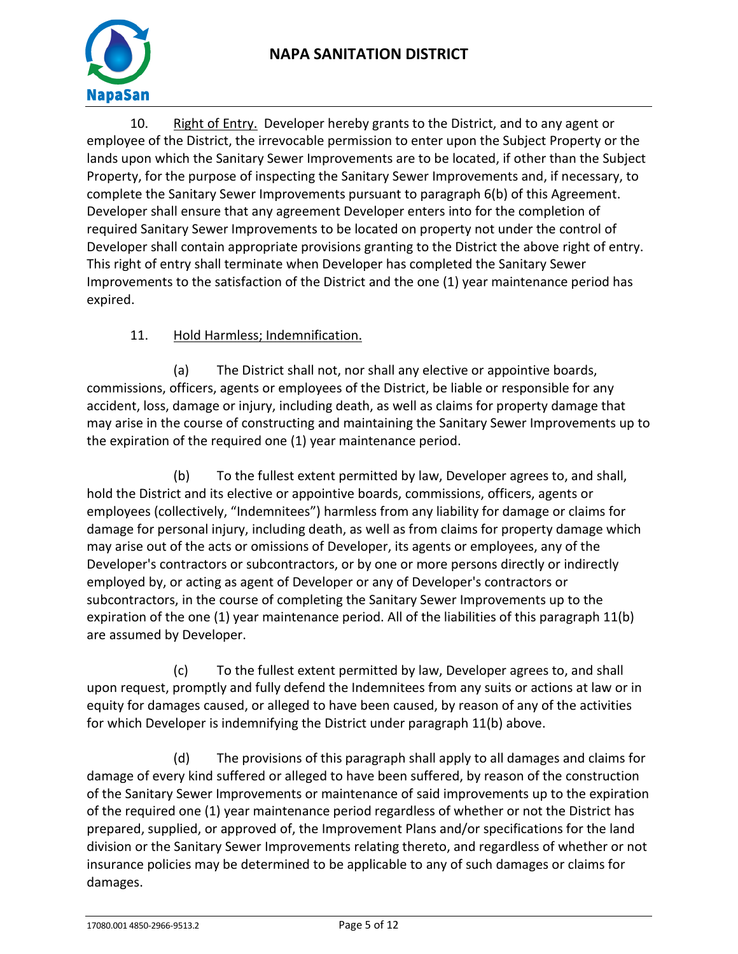

10. Right of Entry. Developer hereby grants to the District, and to any agent or employee of the District, the irrevocable permission to enter upon the Subject Property or the lands upon which the Sanitary Sewer Improvements are to be located, if other than the Subject Property, for the purpose of inspecting the Sanitary Sewer Improvements and, if necessary, to complete the Sanitary Sewer Improvements pursuant to paragraph 6(b) of this Agreement. Developer shall ensure that any agreement Developer enters into for the completion of required Sanitary Sewer Improvements to be located on property not under the control of Developer shall contain appropriate provisions granting to the District the above right of entry. This right of entry shall terminate when Developer has completed the Sanitary Sewer Improvements to the satisfaction of the District and the one (1) year maintenance period has expired.

## 11. Hold Harmless; Indemnification.

(a) The District shall not, nor shall any elective or appointive boards, commissions, officers, agents or employees of the District, be liable or responsible for any accident, loss, damage or injury, including death, as well as claims for property damage that may arise in the course of constructing and maintaining the Sanitary Sewer Improvements up to the expiration of the required one (1) year maintenance period.

(b) To the fullest extent permitted by law, Developer agrees to, and shall, hold the District and its elective or appointive boards, commissions, officers, agents or employees (collectively, "Indemnitees") harmless from any liability for damage or claims for damage for personal injury, including death, as well as from claims for property damage which may arise out of the acts or omissions of Developer, its agents or employees, any of the Developer's contractors or subcontractors, or by one or more persons directly or indirectly employed by, or acting as agent of Developer or any of Developer's contractors or subcontractors, in the course of completing the Sanitary Sewer Improvements up to the expiration of the one (1) year maintenance period. All of the liabilities of this paragraph 11(b) are assumed by Developer.

(c) To the fullest extent permitted by law, Developer agrees to, and shall upon request, promptly and fully defend the Indemnitees from any suits or actions at law or in equity for damages caused, or alleged to have been caused, by reason of any of the activities for which Developer is indemnifying the District under paragraph 11(b) above.

(d) The provisions of this paragraph shall apply to all damages and claims for damage of every kind suffered or alleged to have been suffered, by reason of the construction of the Sanitary Sewer Improvements or maintenance of said improvements up to the expiration of the required one (1) year maintenance period regardless of whether or not the District has prepared, supplied, or approved of, the Improvement Plans and/or specifications for the land division or the Sanitary Sewer Improvements relating thereto, and regardless of whether or not insurance policies may be determined to be applicable to any of such damages or claims for damages.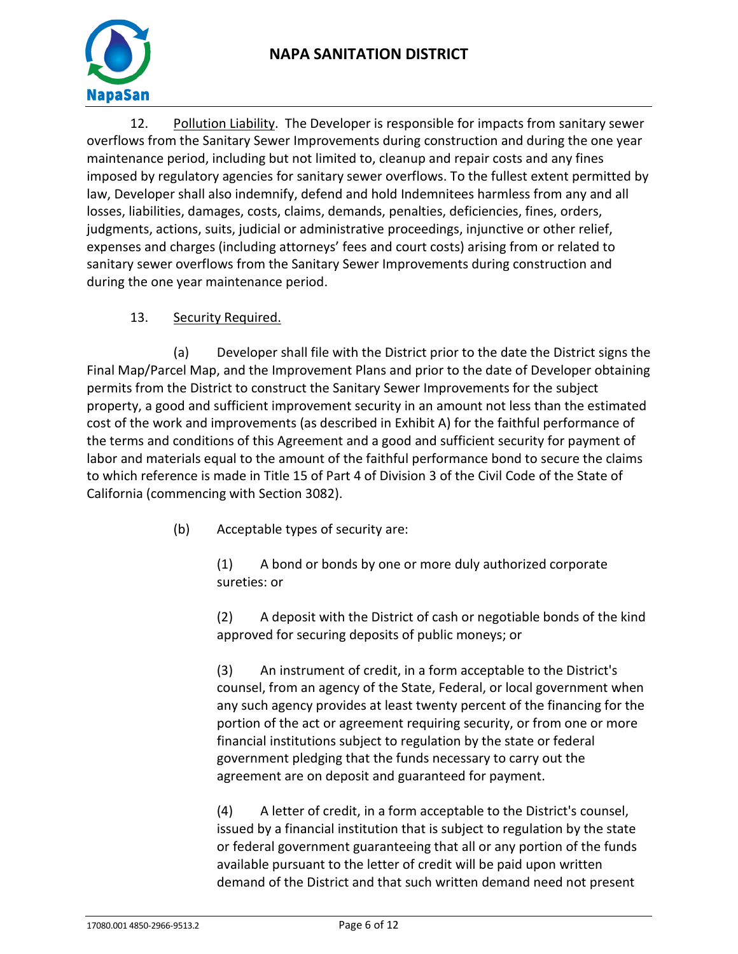

12. Pollution Liability. The Developer is responsible for impacts from sanitary sewer overflows from the Sanitary Sewer Improvements during construction and during the one year maintenance period, including but not limited to, cleanup and repair costs and any fines imposed by regulatory agencies for sanitary sewer overflows. To the fullest extent permitted by law, Developer shall also indemnify, defend and hold Indemnitees harmless from any and all losses, liabilities, damages, costs, claims, demands, penalties, deficiencies, fines, orders, judgments, actions, suits, judicial or administrative proceedings, injunctive or other relief, expenses and charges (including attorneys' fees and court costs) arising from or related to sanitary sewer overflows from the Sanitary Sewer Improvements during construction and during the one year maintenance period.

## 13. Security Required.

(a) Developer shall file with the District prior to the date the District signs the Final Map/Parcel Map, and the Improvement Plans and prior to the date of Developer obtaining permits from the District to construct the Sanitary Sewer Improvements for the subject property, a good and sufficient improvement security in an amount not less than the estimated cost of the work and improvements (as described in Exhibit A) for the faithful performance of the terms and conditions of this Agreement and a good and sufficient security for payment of labor and materials equal to the amount of the faithful performance bond to secure the claims to which reference is made in Title 15 of Part 4 of Division 3 of the Civil Code of the State of California (commencing with Section 3082).

(b) Acceptable types of security are:

(1) A bond or bonds by one or more duly authorized corporate sureties: or

(2) A deposit with the District of cash or negotiable bonds of the kind approved for securing deposits of public moneys; or

(3) An instrument of credit, in a form acceptable to the District's counsel, from an agency of the State, Federal, or local government when any such agency provides at least twenty percent of the financing for the portion of the act or agreement requiring security, or from one or more financial institutions subject to regulation by the state or federal government pledging that the funds necessary to carry out the agreement are on deposit and guaranteed for payment.

(4) A letter of credit, in a form acceptable to the District's counsel, issued by a financial institution that is subject to regulation by the state or federal government guaranteeing that all or any portion of the funds available pursuant to the letter of credit will be paid upon written demand of the District and that such written demand need not present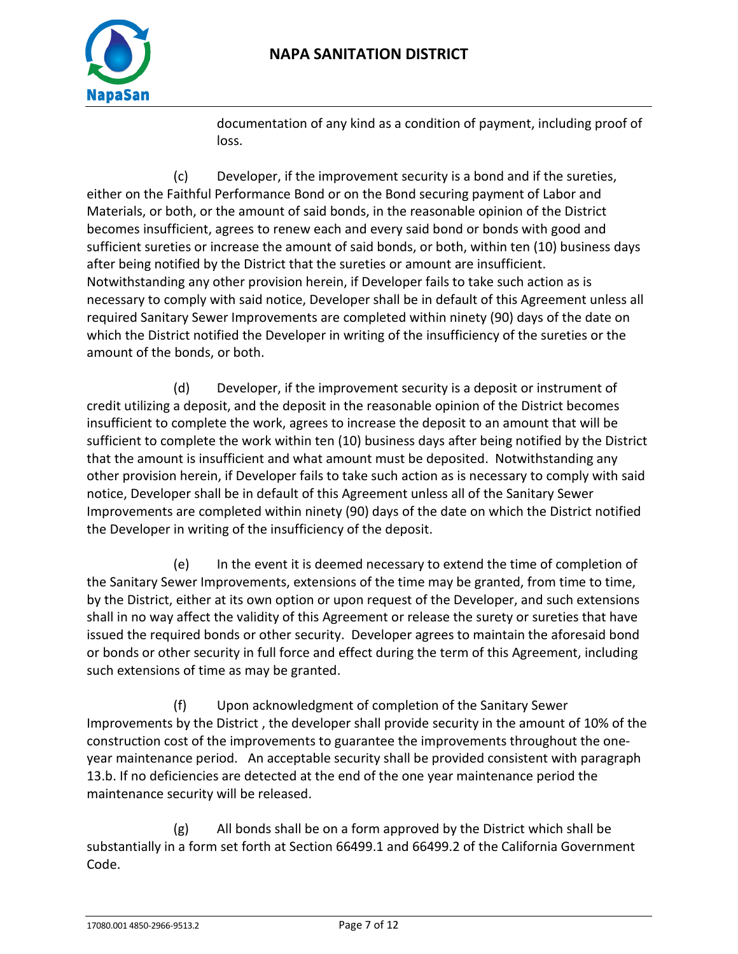

documentation of any kind as a condition of payment, including proof of loss.

(c) Developer, if the improvement security is a bond and if the sureties, either on the Faithful Performance Bond or on the Bond securing payment of Labor and Materials, or both, or the amount of said bonds, in the reasonable opinion of the District becomes insufficient, agrees to renew each and every said bond or bonds with good and sufficient sureties or increase the amount of said bonds, or both, within ten (10) business days after being notified by the District that the sureties or amount are insufficient. Notwithstanding any other provision herein, if Developer fails to take such action as is necessary to comply with said notice, Developer shall be in default of this Agreement unless all required Sanitary Sewer Improvements are completed within ninety (90) days of the date on which the District notified the Developer in writing of the insufficiency of the sureties or the amount of the bonds, or both.

(d) Developer, if the improvement security is a deposit or instrument of credit utilizing a deposit, and the deposit in the reasonable opinion of the District becomes insufficient to complete the work, agrees to increase the deposit to an amount that will be sufficient to complete the work within ten (10) business days after being notified by the District that the amount is insufficient and what amount must be deposited. Notwithstanding any other provision herein, if Developer fails to take such action as is necessary to comply with said notice, Developer shall be in default of this Agreement unless all of the Sanitary Sewer Improvements are completed within ninety (90) days of the date on which the District notified the Developer in writing of the insufficiency of the deposit.

(e) In the event it is deemed necessary to extend the time of completion of the Sanitary Sewer Improvements, extensions of the time may be granted, from time to time, by the District, either at its own option or upon request of the Developer, and such extensions shall in no way affect the validity of this Agreement or release the surety or sureties that have issued the required bonds or other security. Developer agrees to maintain the aforesaid bond or bonds or other security in full force and effect during the term of this Agreement, including such extensions of time as may be granted.

(f) Upon acknowledgment of completion of the Sanitary Sewer Improvements by the District , the developer shall provide security in the amount of 10% of the construction cost of the improvements to guarantee the improvements throughout the oneyear maintenance period. An acceptable security shall be provided consistent with paragraph 13.b. If no deficiencies are detected at the end of the one year maintenance period the maintenance security will be released.

(g) All bonds shall be on a form approved by the District which shall be substantially in a form set forth at Section 66499.1 and 66499.2 of the California Government Code.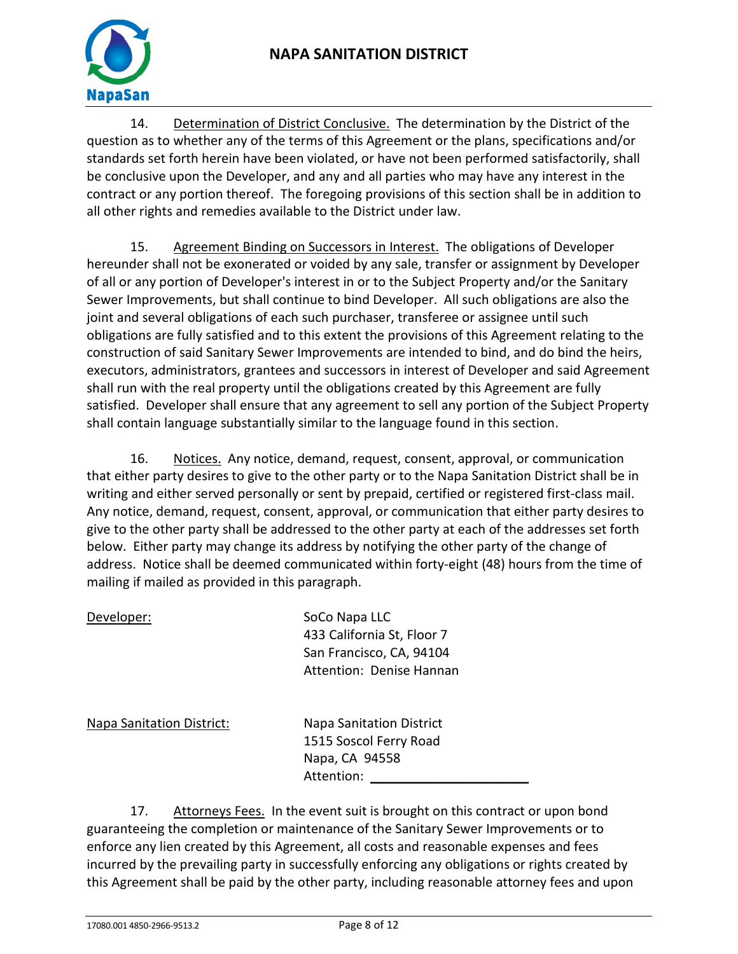# **NAPA SANITATION DISTRICT**



14. Determination of District Conclusive. The determination by the District of the question as to whether any of the terms of this Agreement or the plans, specifications and/or standards set forth herein have been violated, or have not been performed satisfactorily, shall be conclusive upon the Developer, and any and all parties who may have any interest in the contract or any portion thereof. The foregoing provisions of this section shall be in addition to all other rights and remedies available to the District under law.

15. Agreement Binding on Successors in Interest. The obligations of Developer hereunder shall not be exonerated or voided by any sale, transfer or assignment by Developer of all or any portion of Developer's interest in or to the Subject Property and/or the Sanitary Sewer Improvements, but shall continue to bind Developer. All such obligations are also the joint and several obligations of each such purchaser, transferee or assignee until such obligations are fully satisfied and to this extent the provisions of this Agreement relating to the construction of said Sanitary Sewer Improvements are intended to bind, and do bind the heirs, executors, administrators, grantees and successors in interest of Developer and said Agreement shall run with the real property until the obligations created by this Agreement are fully satisfied. Developer shall ensure that any agreement to sell any portion of the Subject Property shall contain language substantially similar to the language found in this section.

16. Notices. Any notice, demand, request, consent, approval, or communication that either party desires to give to the other party or to the Napa Sanitation District shall be in writing and either served personally or sent by prepaid, certified or registered first-class mail. Any notice, demand, request, consent, approval, or communication that either party desires to give to the other party shall be addressed to the other party at each of the addresses set forth below. Either party may change its address by notifying the other party of the change of address. Notice shall be deemed communicated within forty-eight (48) hours from the time of mailing if mailed as provided in this paragraph.

| Developer:                       | SoCo Napa LLC<br>433 California St, Floor 7<br>San Francisco, CA, 94104<br>Attention: Denise Hannan |
|----------------------------------|-----------------------------------------------------------------------------------------------------|
| <b>Napa Sanitation District:</b> | <b>Napa Sanitation District</b><br>1515 Soscol Ferry Road<br>Napa, CA 94558<br>Attention:           |

17. Attorneys Fees. In the event suit is brought on this contract or upon bond guaranteeing the completion or maintenance of the Sanitary Sewer Improvements or to enforce any lien created by this Agreement, all costs and reasonable expenses and fees incurred by the prevailing party in successfully enforcing any obligations or rights created by this Agreement shall be paid by the other party, including reasonable attorney fees and upon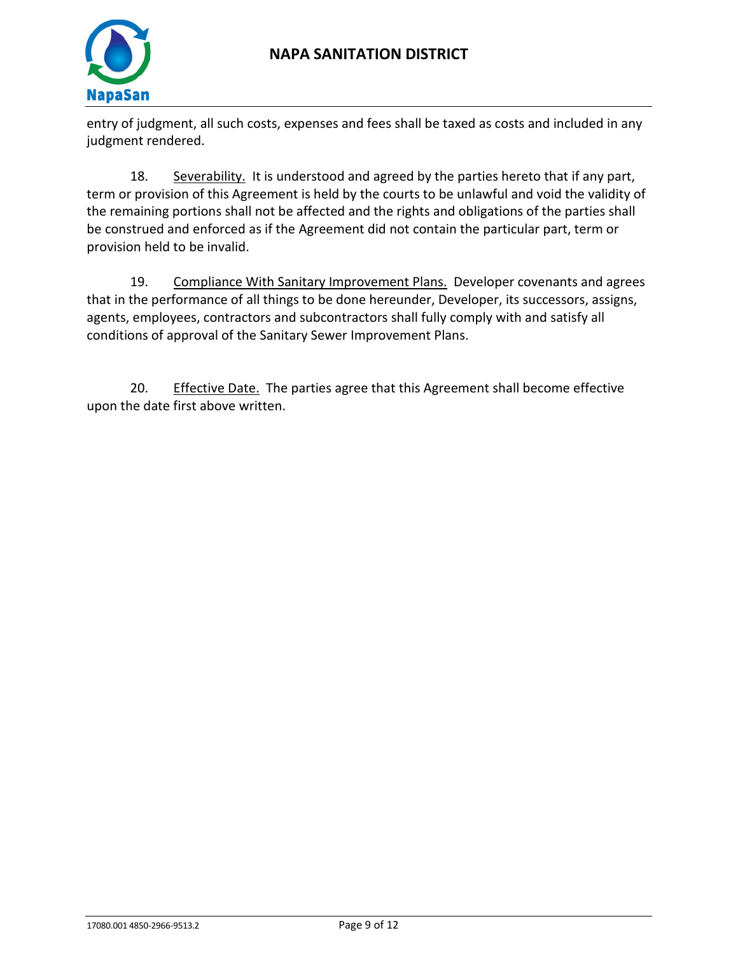

entry of judgment, all such costs, expenses and fees shall be taxed as costs and included in any judgment rendered.

18. Severability. It is understood and agreed by the parties hereto that if any part, term or provision of this Agreement is held by the courts to be unlawful and void the validity of the remaining portions shall not be affected and the rights and obligations of the parties shall be construed and enforced as if the Agreement did not contain the particular part, term or provision held to be invalid.

19. Compliance With Sanitary Improvement Plans. Developer covenants and agrees that in the performance of all things to be done hereunder, Developer, its successors, assigns, agents, employees, contractors and subcontractors shall fully comply with and satisfy all conditions of approval of the Sanitary Sewer Improvement Plans.

20. Effective Date. The parties agree that this Agreement shall become effective upon the date first above written.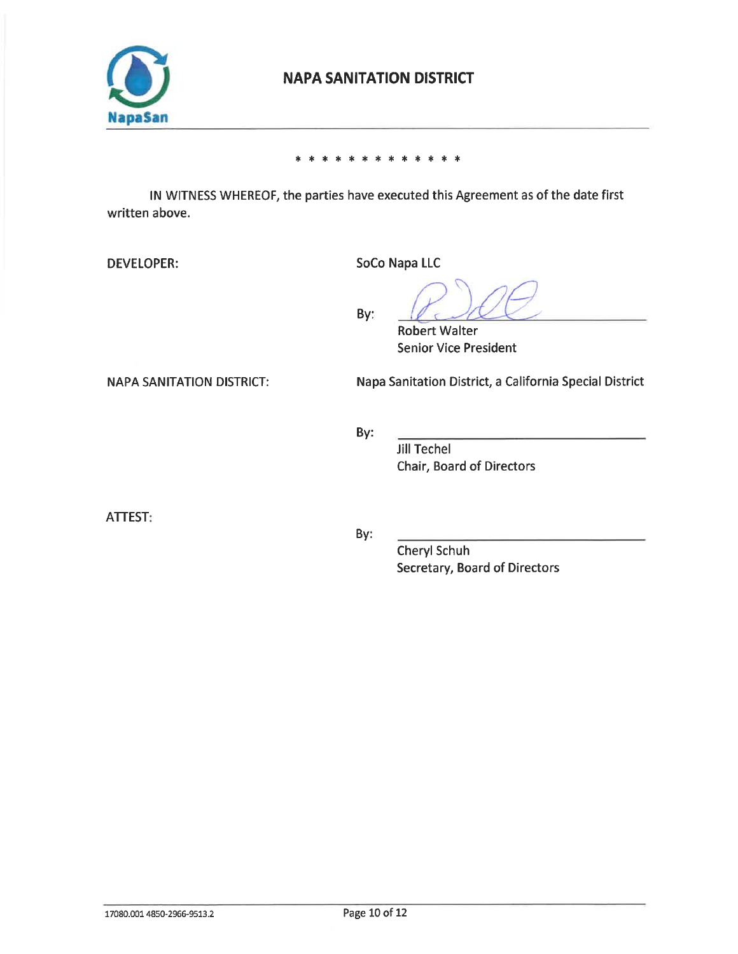

## **NAPA SANITATION DISTRICT**

#### $\ast$  $\ast$  $\ast$  $\ast$  $\ast$  $\ast$  $\ast$  $\ast$

IN WITNESS WHEREOF, the parties have executed this Agreement as of the date first written above.

**DEVELOPER:** 

SoCo Napa LLC

By:

**Robert Walter Senior Vice President** 

**NAPA SANITATION DISTRICT:** 

Napa Sanitation District, a California Special District

By:

**Jill Techel** Chair, Board of Directors

**ATTEST:** 

By:

Cheryl Schuh Secretary, Board of Directors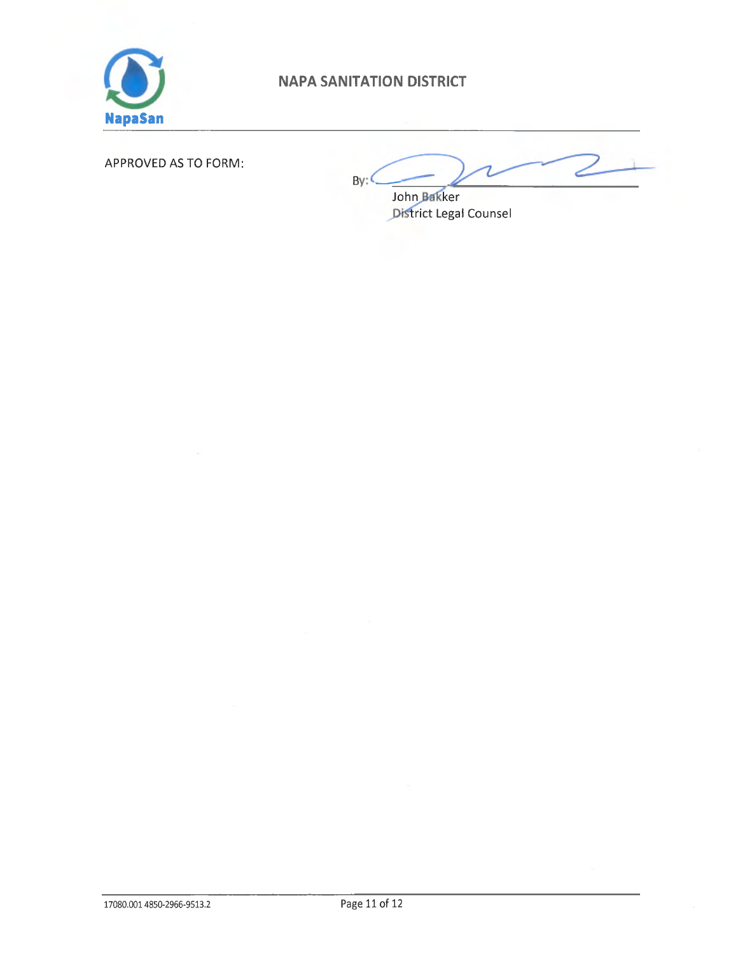

# NAPA SANITATION DISTRICT

## APPROVED AS TO FORM:

 $By:$ 

John Bakker District Legal Counsel